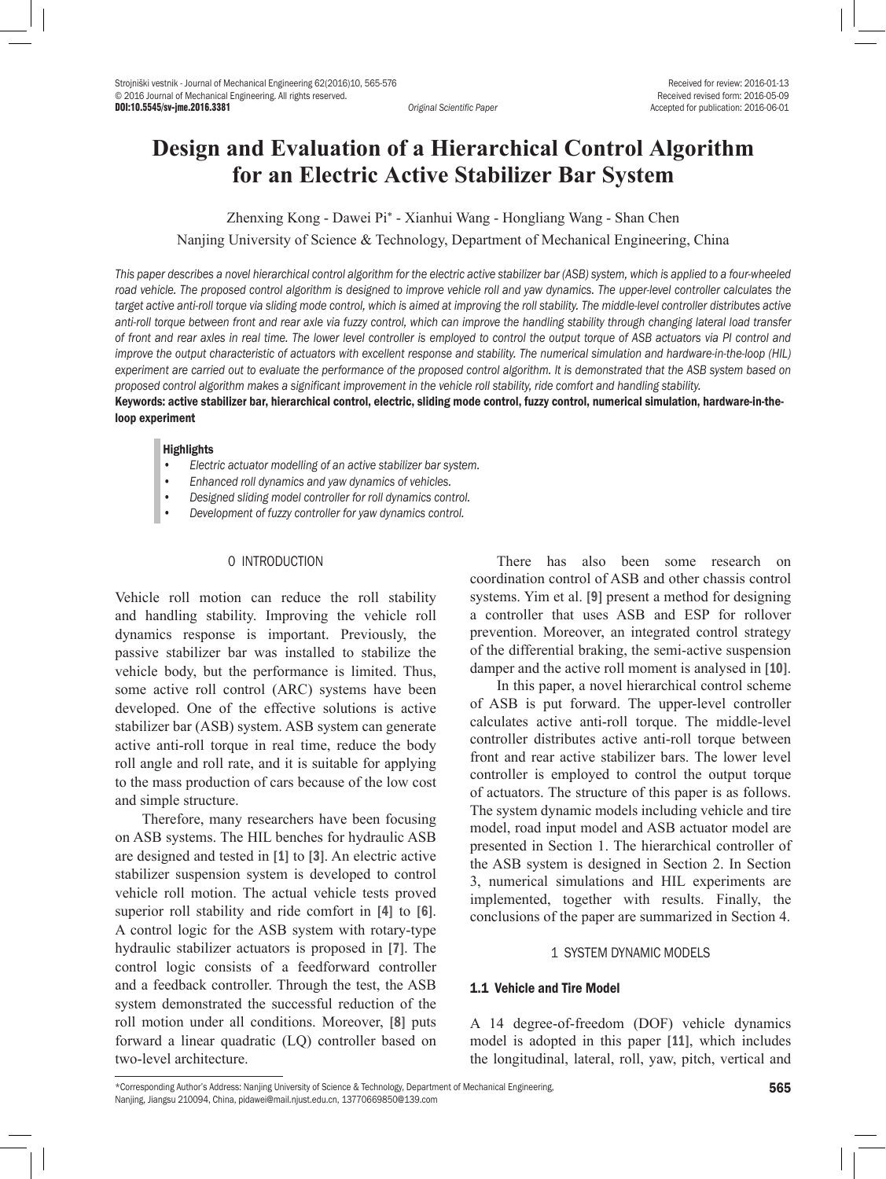DOI:10.5545/sv-jme.2016.3381 *Original Scientific Paper* Accepted for publication: 2016-06-01

# **Design and Evaluation of a Hierarchical Control Algorithm for an Electric Active Stabilizer Bar System**

Zhenxing Kong - Dawei Pi\* - Xianhui Wang - Hongliang Wang - Shan Chen Nanjing University of Science & Technology, Department of Mechanical Engineering, China

*This paper describes a novel hierarchical control algorithm for the electric active stabilizer bar (ASB) system, which is applied to a four-wheeled*  road vehicle. The proposed control algorithm is designed to improve vehicle roll and yaw dynamics. The upper-level controller calculates the target active anti-roll torque via sliding mode control, which is aimed at improving the roll stability. The middle-level controller distributes active *anti-roll torque between front and rear axle via fuzzy control, which can improve the handling stability through changing lateral load transfer of front and rear axles in real time. The lower level controller is employed to control the output torque of ASB actuators via PI control and improve the output characteristic of actuators with excellent response and stability. The numerical simulation and hardware-in-the-loop (HIL) experiment are carried out to evaluate the performance of the proposed control algorithm. It is demonstrated that the ASB system based on proposed control algorithm makes a significant improvement in the vehicle roll stability, ride comfort and handling stability.*

Keywords: active stabilizer bar, hierarchical control, electric, sliding mode control, fuzzy control, numerical simulation, hardware-in-theloop experiment

#### **Highlights**

- *• Electric actuator modelling of an active stabilizer bar system.*
- *• Enhanced roll dynamics and yaw dynamics of vehicles.*
- *• Designed sliding model controller for roll dynamics control.*
- *• Development of fuzzy controller for yaw dynamics control.*

## 0 INTRODUCTION

Vehicle roll motion can reduce the roll stability and handling stability. Improving the vehicle roll dynamics response is important. Previously, the passive stabilizer bar was installed to stabilize the vehicle body, but the performance is limited. Thus, some active roll control (ARC) systems have been developed. One of the effective solutions is active stabilizer bar (ASB) system. ASB system can generate active anti-roll torque in real time, reduce the body roll angle and roll rate, and it is suitable for applying to the mass production of cars because of the low cost and simple structure.

Therefore, many researchers have been focusing on ASB systems. The HIL benches for hydraulic ASB are designed and tested in [1] to [3]. An electric active stabilizer suspension system is developed to control vehicle roll motion. The actual vehicle tests proved superior roll stability and ride comfort in [4] to [6]. A control logic for the ASB system with rotary-type hydraulic stabilizer actuators is proposed in [7]. The control logic consists of a feedforward controller and a feedback controller. Through the test, the ASB system demonstrated the successful reduction of the roll motion under all conditions. Moreover, [8] puts forward a linear quadratic (LQ) controller based on two-level architecture.

There has also been some research on coordination control of ASB and other chassis control systems. Yim et al. [9] present a method for designing a controller that uses ASB and ESP for rollover prevention. Moreover, an integrated control strategy of the differential braking, the semi-active suspension damper and the active roll moment is analysed in [10].

In this paper, a novel hierarchical control scheme of ASB is put forward. The upper-level controller calculates active anti-roll torque. The middle-level controller distributes active anti-roll torque between front and rear active stabilizer bars. The lower level controller is employed to control the output torque of actuators. The structure of this paper is as follows. The system dynamic models including vehicle and tire model, road input model and ASB actuator model are presented in Section 1. The hierarchical controller of the ASB system is designed in Section 2. In Section 3, numerical simulations and HIL experiments are implemented, together with results. Finally, the conclusions of the paper are summarized in Section 4.

## 1 SYSTEM DYNAMIC MODELS

## 1.1 Vehicle and Tire Model

A 14 degree-of-freedom (DOF) vehicle dynamics model is adopted in this paper [11], which includes the longitudinal, lateral, roll, yaw, pitch, vertical and

<sup>\*</sup>Corresponding Author's Address: Nanjing University of Science & Technology, Department of Mechanical Engineering, Nanjing, Jiangsu 210094, China, pidawei@mail.njust.edu.cn, 13770669850@139.com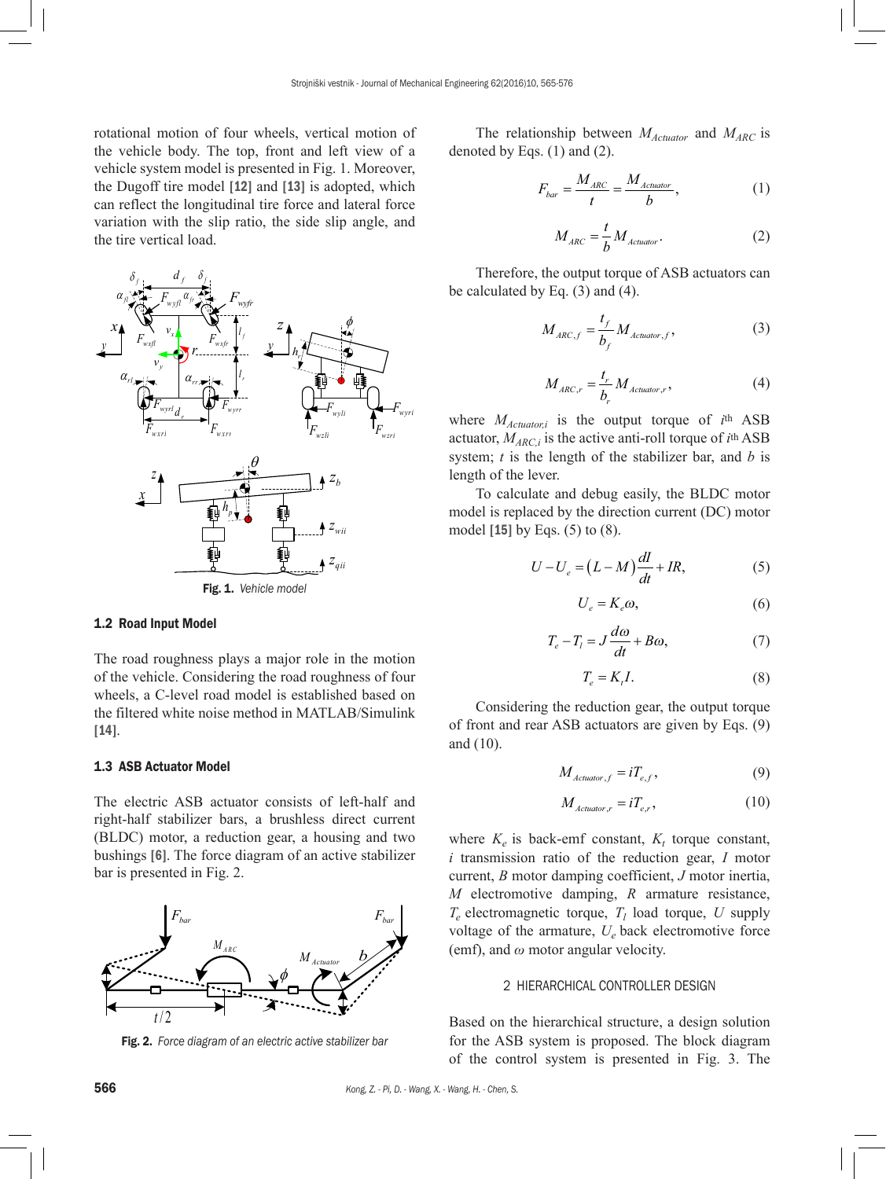rotational motion of four wheels, vertical motion of the vehicle body. The top, front and left view of a vehicle system model is presented in Fig. 1. Moreover, the Dugoff tire model [12] and [13] is adopted, which can reflect the longitudinal tire force and lateral force variation with the slip ratio, the side slip angle, and the tire vertical load.



#### 1.2 Road Input Model

The road roughness plays a major role in the motion of the vehicle. Considering the road roughness of four wheels, a C-level road model is established based on the filtered white noise method in MATLAB/Simulink [14].

# 1.3 ASB Actuator Model

The electric ASB actuator consists of left-half and right-half stabilizer bars, a brushless direct current (BLDC) motor, a reduction gear, a housing and two bushings [6]. The force diagram of an active stabilizer bar is presented in Fig. 2.



Fig. 2. *Force diagram of an electric active stabilizer bar*

The relationship between *M<sub>Actuator</sub>* and *M<sub>ARC</sub>* is denoted by Eqs. (1) and (2).

$$
F_{bar} = \frac{M_{ARC}}{t} = \frac{M_{Actualor}}{b},
$$
 (1)

$$
M_{\text{ARC}} = \frac{t}{b} M_{\text{Acluator}}.\tag{2}
$$

Therefore, the output torque of ASB actuators can be calculated by Eq. (3) and (4).

$$
M_{ARC,f} = \frac{t_f}{b_f} M_{Actualor,f},
$$
 (3)

$$
M_{\text{ARC},r} = \frac{t_r}{b_r} M_{\text{Actualor},r},\tag{4}
$$

where *MActuator,i* is the output torque of *i*th ASB actuator,  $M_{ARC,i}$  is the active anti-roll torque of  $i$ <sup>th</sup> ASB system; *t* is the length of the stabilizer bar, and *b* is length of the lever.

To calculate and debug easily, the BLDC motor model is replaced by the direction current (DC) motor model [15] by Eqs. (5) to (8).

$$
U - U_e = (L - M)\frac{dI}{dt} + IR,\tag{5}
$$

$$
U_e = K_e \omega,\tag{6}
$$

$$
T_e - T_l = J \frac{d\omega}{dt} + B\omega,
$$
\n(7)

$$
T_e = K_t I. \tag{8}
$$

Considering the reduction gear, the output torque of front and rear ASB actuators are given by Eqs. (9) and (10).

$$
M_{\text{detator},f} = iT_{e,f},\tag{9}
$$

$$
M_{\text{detator},r} = iT_{e,r},\tag{10}
$$

where  $K_e$  is back-emf constant,  $K_t$  torque constant, *i* transmission ratio of the reduction gear, *I* motor current, *B* motor damping coefficient, *J* motor inertia, *M* electromotive damping, *R* armature resistance,  $T_e$  electromagnetic torque,  $T_l$  load torque,  $U$  supply voltage of the armature,  $U_e$  back electromotive force (emf), and *ω* motor angular velocity.

## 2 HIERARCHICAL CONTROLLER DESIGN

Based on the hierarchical structure, a design solution for the ASB system is proposed. The block diagram of the control system is presented in Fig. 3. The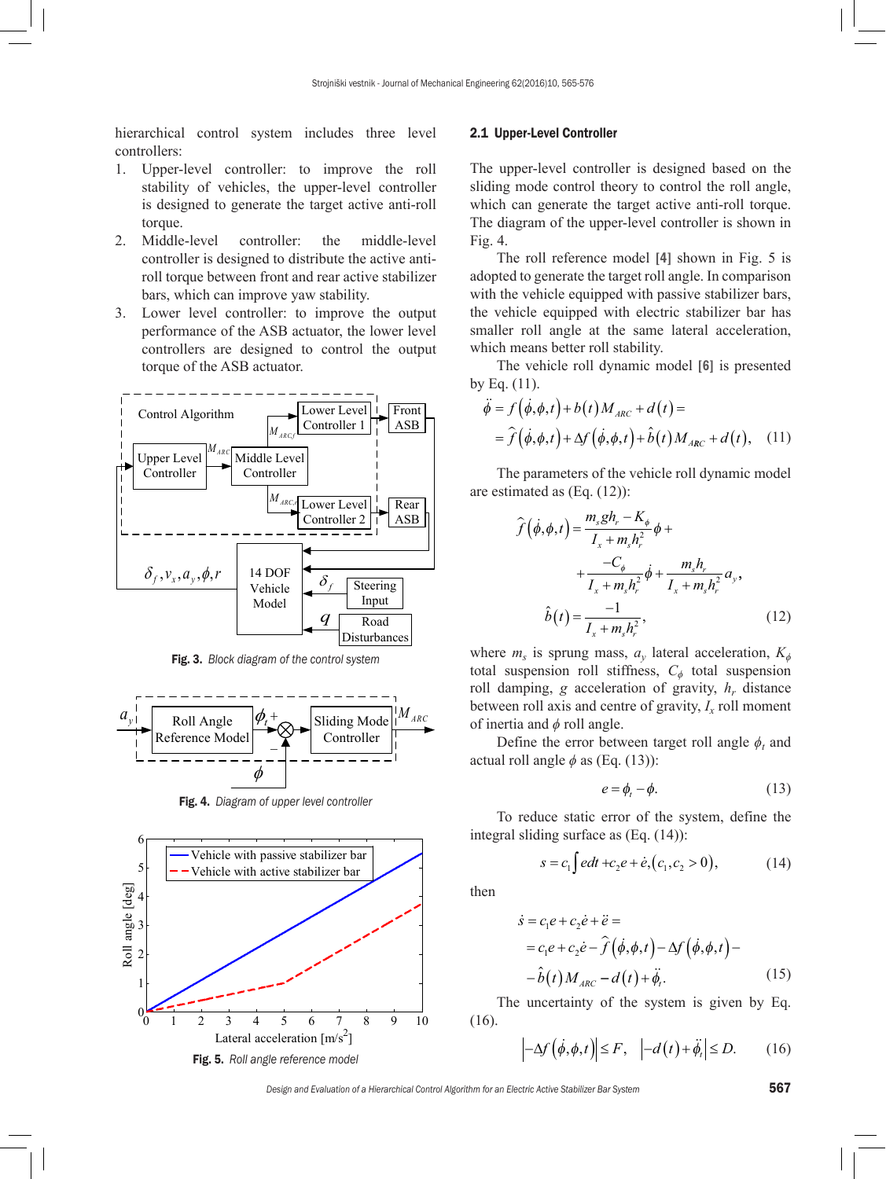hierarchical control system includes three level controllers:

- 1. Upper-level controller: to improve the roll stability of vehicles, the upper-level controller is designed to generate the target active anti-roll torque.
- 2. Middle-level controller: the middle-level controller is designed to distribute the active antiroll torque between front and rear active stabilizer bars, which can improve yaw stability.
- 3. Lower level controller: to improve the output performance of the ASB actuator, the lower level controllers are designed to control the output torque of the ASB actuator.



Fig. 3. *Block diagram of the control system*



Fig. 4. *Diagram of upper level controller*



#### 2.1 Upper-Level Controller

The upper-level controller is designed based on the sliding mode control theory to control the roll angle, which can generate the target active anti-roll torque. The diagram of the upper-level controller is shown in Fig. 4.

The roll reference model [4] shown in Fig. 5 is adopted to generate the target roll angle. In comparison with the vehicle equipped with passive stabilizer bars, the vehicle equipped with electric stabilizer bar has smaller roll angle at the same lateral acceleration, which means better roll stability.

The vehicle roll dynamic model [6] is presented by Eq. (11).

$$
\ddot{\phi} = f(\dot{\phi}, \phi, t) + b(t) M_{ARC} + d(t) =
$$
  
=  $\hat{f}(\dot{\phi}, \phi, t) + \Delta f(\dot{\phi}, \phi, t) + \hat{b}(t) M_{ARC} + d(t),$  (11)

The parameters of the vehicle roll dynamic model are estimated as (Eq. (12)):

$$
\hat{f}(\dot{\phi}, \phi, t) = \frac{m_s g h_r - K_{\phi}}{I_x + m_s h_r^2} \phi + \n+ \frac{-C_{\phi}}{I_x + m_s h_r^2} \dot{\phi} + \frac{m_s h_r}{I_x + m_s h_r^2} a_y, \n\hat{b}(t) = \frac{-1}{I_x + m_s h_r^2},
$$
\n(12)

where  $m<sub>s</sub>$  is sprung mass,  $a<sub>y</sub>$  lateral acceleration,  $K<sub>φ</sub>$ total suspension roll stiffness, *Cϕ* total suspension roll damping,  $g$  acceleration of gravity,  $h_r$  distance between roll axis and centre of gravity,  $I_x$  roll moment of inertia and *ϕ* roll angle.

Define the error between target roll angle  $\phi_t$  and actual roll angle  $\phi$  as (Eq. (13)):

$$
e = \phi_t - \phi. \tag{13}
$$

To reduce static error of the system, define the integral sliding surface as (Eq. (14)):

$$
s = c_1 \int e dt + c_2 e + \dot{e}, (c_1, c_2 > 0), \tag{14}
$$

then

$$
\dot{s} = c_1 e + c_2 \dot{e} + \ddot{e} =
$$
  
= c\_1 e + c\_2 \dot{e} - \hat{f} (\dot{\phi}, \phi, t) - \Delta f (\dot{\phi}, \phi, t) -  
- \hat{b}(t) M\_{\text{ARC}} - d(t) + \ddot{\phi}. (15)

The uncertainty of the system is given by Eq. (16).

$$
-\Delta f(\dot{\phi}, \phi, t) \le F, \quad \left| -d(t) + \ddot{\phi}_t \right| \le D. \tag{16}
$$

*Design and Evaluation of a Hierarchical Control Algorithm for an Electric Active Stabilizer Bar System* 567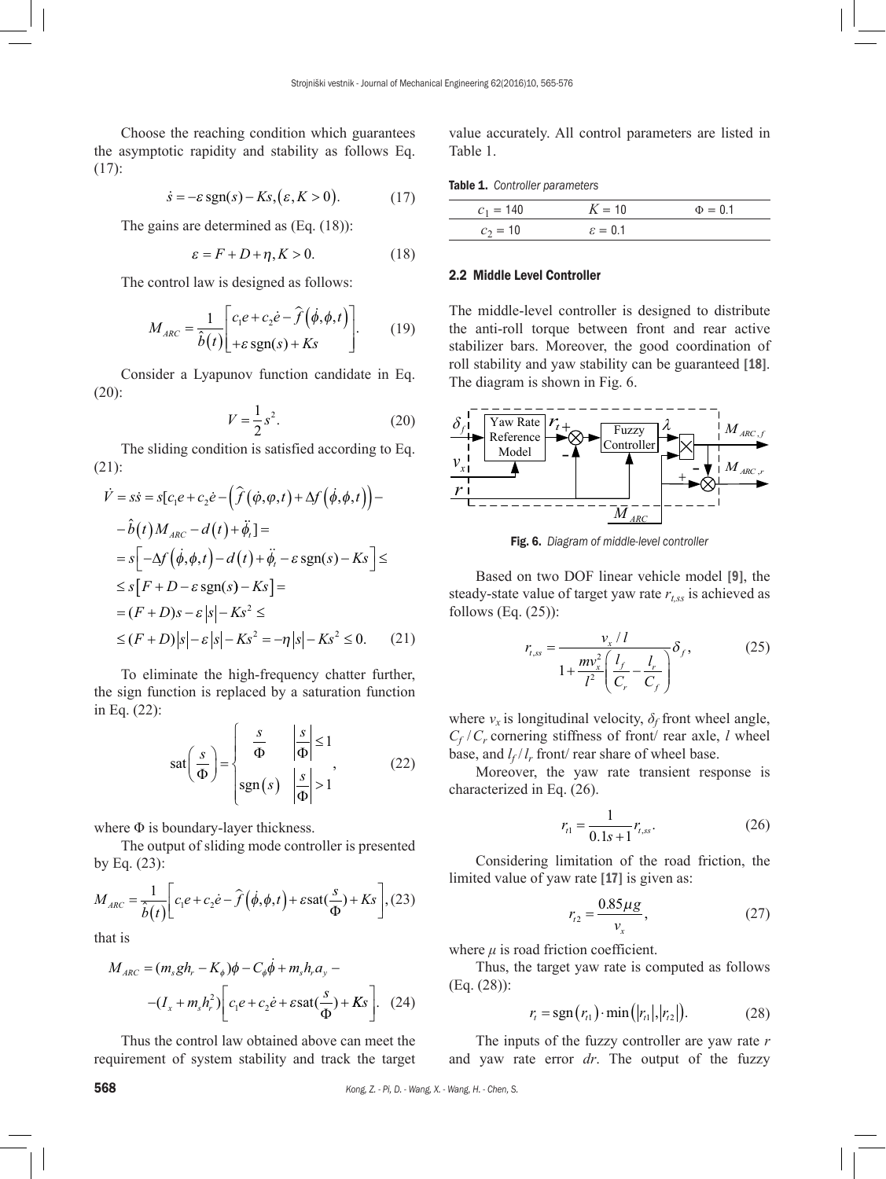Choose the reaching condition which guarantees the asymptotic rapidity and stability as follows Eq. (17):

$$
\dot{s} = -\varepsilon \operatorname{sgn}(s) - Ks, (\varepsilon, K > 0). \tag{17}
$$

The gains are determined as (Eq. (18)):

$$
\varepsilon = F + D + \eta, K > 0. \tag{18}
$$

The control law is designed as follows:

$$
M_{ARC} = \frac{1}{\hat{b}(t)} \left[ \frac{c_1 e + c_2 \dot{e} - \hat{f}(\dot{\phi}, \phi, t)}{+ \varepsilon \operatorname{sgn}(s) + Ks} \right].
$$
 (19)

Consider a [Lyapunov function](https://en.wikipedia.org/wiki/Lyapunov_function) candidate in Eq. (20):

$$
V = \frac{1}{2}s^2.
$$
\n<sup>(20)</sup>

The sliding condition is satisfied according to Eq. (21):

$$
\dot{V} = s\dot{s} = s[c_1e + c_2\dot{e} - (\hat{f}(\phi, \phi, t) + \Delta f(\dot{\phi}, \phi, t)) - \hat{b}(t)M_{ARC} - d(t) + \ddot{\phi}, l =
$$
\n
$$
= s[-\Delta f(\dot{\phi}, \phi, t) - d(t) + \ddot{\phi}, -\varepsilon \operatorname{sgn}(s) - Ks] \le
$$
\n
$$
\le s[F + D - \varepsilon \operatorname{sgn}(s) - Ks] =
$$
\n
$$
= (F + D)s - \varepsilon |s| - Ks^2 \le
$$
\n
$$
\le (F + D)|s| - \varepsilon |s| - Ks^2 = -\eta |s| - Ks^2 \le 0. \tag{21}
$$

To eliminate the high-frequency chatter further, the sign function is replaced by a saturation function in Eq. (22):

$$
sat\left(\frac{s}{\Phi}\right) = \begin{cases} \frac{s}{\Phi} & \left|\frac{s}{\Phi}\right| \le 1\\ \text{sgn}(s) & \left|\frac{s}{\Phi}\right| > 1 \end{cases}
$$
 (22)

where Φ is boundary-layer thickness.

The output of sliding mode controller is presented by Eq. (23):

$$
M_{\text{ARC}} = \frac{1}{\hat{b}(t)} \bigg[ c_1 e + c_2 \dot{e} - \hat{f} \left( \dot{\phi}, \phi, t \right) + \varepsilon \text{sat}(\frac{s}{\Phi}) + Ks \bigg], (23)
$$

that is

$$
M_{ARC} = (m_s g h_r - K_{\phi}) \phi - C_{\phi} \dot{\phi} + m_s h_r a_y -
$$

$$
-(I_x + m_s h_r^2) \bigg[ c_1 e + c_2 \dot{e} + \varepsilon \text{sat}(\frac{s}{\Phi}) + K s \bigg]. \quad (24)
$$

Thus the control law obtained above can meet the requirement of system stability and track the target value accurately. All control parameters are listed in Table 1.

| <b>Table 1.</b> Controller parameters |  |
|---------------------------------------|--|
|---------------------------------------|--|

| $C_1 =$ <sup>4</sup> | $V = 10$            | $\geq$ = 0.1 |
|----------------------|---------------------|--------------|
|                      | $\varepsilon = 0.1$ |              |

#### 2.2 Middle Level Controller

The middle-level controller is designed to distribute the anti-roll torque between front and rear active stabilizer bars. Moreover, the good coordination of roll stability and yaw stability can be guaranteed [18]. The diagram is shown in Fig. 6.



Fig. 6. *Diagram of middle-level controller*

Based on two DOF linear vehicle model [9], the steady-state value of target yaw rate  $r_{t,ss}$  is achieved as follows  $(Eq. (25))$ :

$$
r_{t,ss} = \frac{v_x / l}{1 + \frac{mv_x^2}{l^2} \left(\frac{l_f}{C_r} - \frac{l_r}{C_f}\right)} \delta_f, \tag{25}
$$

where  $v_x$  is longitudinal velocity,  $\delta_f$  front wheel angle,  $C_f$  /  $C_r$  cornering stiffness of front/ rear axle, *l* wheel base, and  $l_f / l_r$  front/ rear share of wheel base.

Moreover, the yaw rate transient response is characterized in Eq. (26).

$$
r_{t1} = \frac{1}{0.1s + 1} r_{t,ss}.
$$
 (26)

Considering limitation of the road friction, the limited value of yaw rate [17] is given as:

$$
r_{t2} = \frac{0.85 \,\mu g}{v_x},\tag{27}
$$

where  $\mu$  is road friction coefficient.

Thus, the target yaw rate is computed as follows (Eq. (28)):

$$
r_{t} = \text{sgn}(r_{t1}) \cdot \min(|r_{t1}|, |r_{t2}|). \tag{28}
$$

The inputs of the fuzzy controller are yaw rate *r* and yaw rate error *dr*. The output of the fuzzy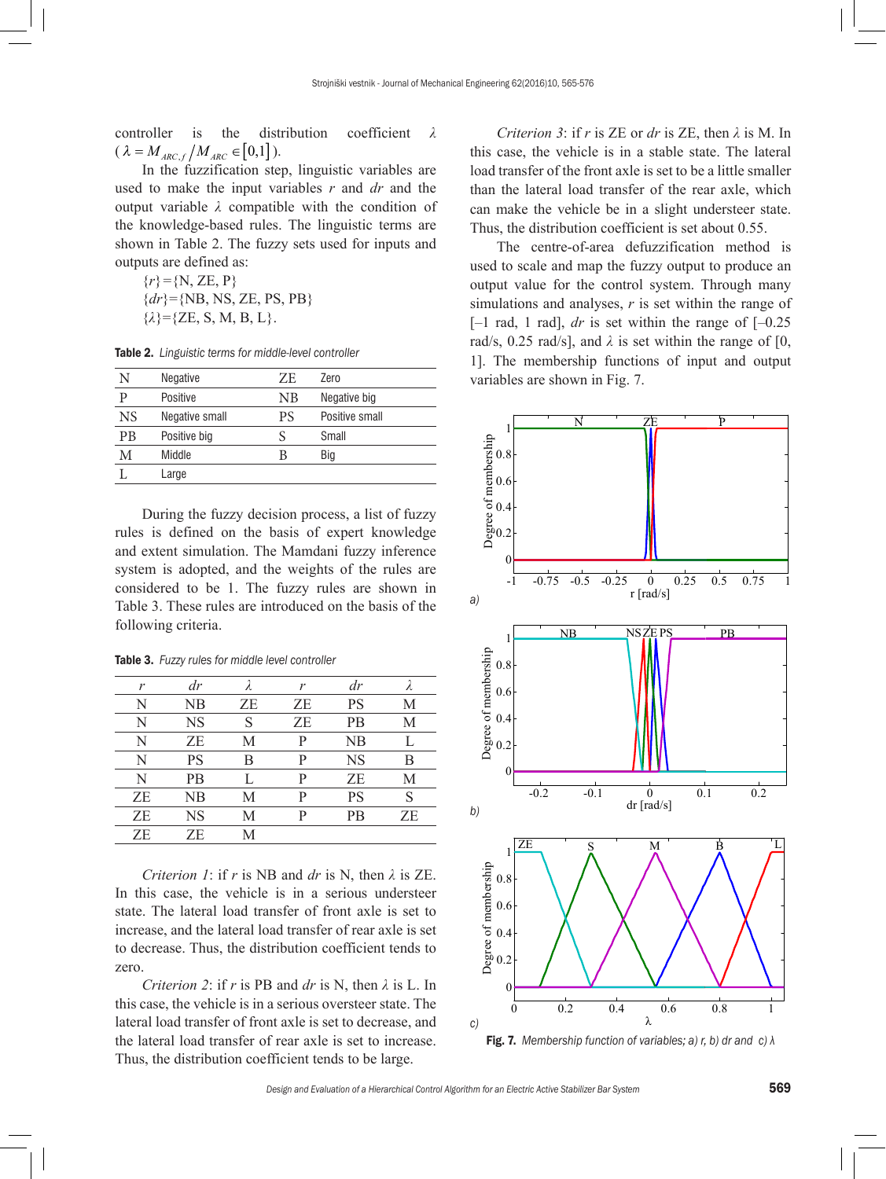controller is the distribution coefficient *λ*  $(\lambda = M_{ARC,f} / M_{ARC} \in [0,1])$ .

In the fuzzification step, linguistic variables are used to make the input variables *r* and *dr* and the output variable *λ* compatible with the condition of the knowledge-based rules. The linguistic terms are shown in Table 2. The fuzzy sets used for inputs and outputs are defined as:

 ${r}$ <sup>=</sup>{N, ZE, P}  ${dr}$ ={NB, NS, ZE, PS, PB}  $\{\lambda\} = \{ZE, S, M, B, L\}.$ 

| N         | Negative       | ZF. | Zero           |
|-----------|----------------|-----|----------------|
| p         | Positive       | NΒ  | Negative big   |
| <b>NS</b> | Negative small | PS  | Positive small |
| РB        | Positive big   |     | Small          |
| M         | Middle         | В   | Big            |
|           | Large          |     |                |
|           |                |     |                |

During the fuzzy decision process, a list of fuzzy rules is defined on the basis of expert knowledge and extent simulation. The Mamdani fuzzy inference system is adopted, and the weights of the rules are considered to be 1. The fuzzy rules are shown in Table 3. These rules are introduced on the basis of the following criteria.

Table 3. *Fuzzy rules for middle level controller*

| r  | $\frac{dr}{ }$ |    | r  | dr        |    |
|----|----------------|----|----|-----------|----|
| N  | NB             | ZE | ZE | <b>PS</b> | М  |
| N  | <b>NS</b>      | S  | ZE | <b>PB</b> | М  |
| N  | ΖE             | М  | P  | NB        | Ι. |
| N  | PS             | В  | P  | <b>NS</b> | В  |
| N  | <b>PB</b>      |    | P  | ΖE        | М  |
| ZE | NB             | М  | P  | <b>PS</b> | S  |
| ZE | <b>NS</b>      | М  | P  | <b>PB</b> | ZE |
| ZE | ΖE             | M  |    |           |    |

*Criterion 1*: if *r* is NB and *dr* is N, then *λ* is ZE. In this case, the vehicle is in a serious understeer state. The lateral load transfer of front axle is set to increase, and the lateral load transfer of rear axle is set to decrease. Thus, the distribution coefficient tends to zero.

*Criterion 2*: if *r* is PB and *dr* is N, then *λ* is L. In this case, the vehicle is in a serious oversteer state. The lateral load transfer of front axle is set to decrease, and the lateral load transfer of rear axle is set to increase. Thus, the distribution coefficient tends to be large.

*Criterion 3*: if *r* is ZE or *dr* is ZE, then *λ* is M. In this case, the vehicle is in a stable state. The lateral load transfer of the front axle is set to be a little smaller than the lateral load transfer of the rear axle, which can make the vehicle be in a slight understeer state. Thus, the distribution coefficient is set about 0.55.

The centre-of-area defuzzification method is used to scale and map the fuzzy output to produce an output value for the control system. Through many simulations and analyses, *r* is set within the range of  $[-1 \text{ rad}, 1 \text{ rad}]$ , *dr* is set within the range of  $[-0.25 \text{ rad}]$ rad/s, 0.25 rad/s], and  $\lambda$  is set within the range of [0, 1]. The membership functions of input and output variables are shown in Fig. 7.



Fig. 7. *Membership function of variables; a) r, b) dr and c) λ*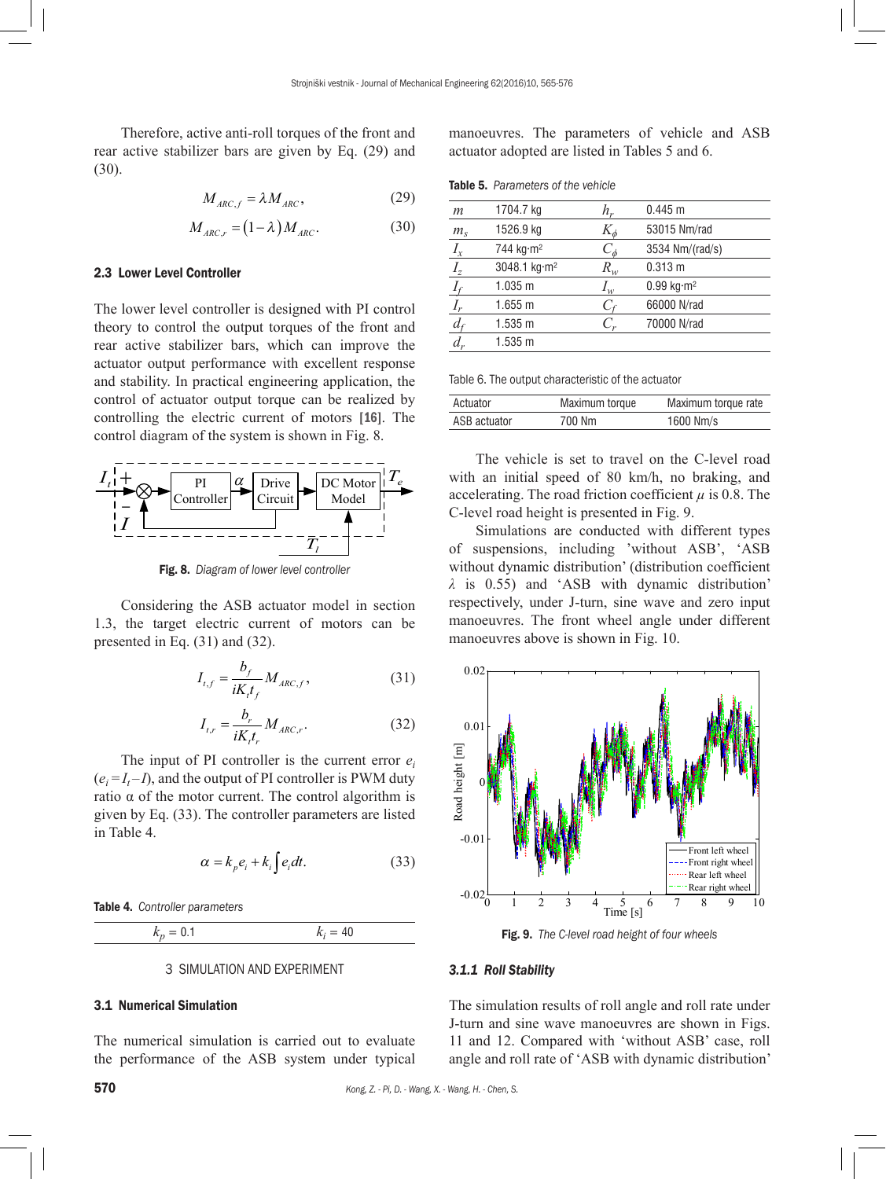Therefore, active anti-roll torques of the front and rear active stabilizer bars are given by Eq. (29) and (30).

$$
M_{\text{ARC},f} = \lambda M_{\text{ARC}},\tag{29}
$$

$$
M_{\text{ARC},r} = (1 - \lambda) M_{\text{ARC}}.\tag{30}
$$

## 2.3 Lower Level Controller

The lower level controller is designed with PI control theory to control the output torques of the front and rear active stabilizer bars, which can improve the actuator output performance with excellent response and stability. In practical engineering application, the control of actuator output torque can be realized by controlling the electric current of motors [16]. The control diagram of the system is shown in Fig. 8.



Fig. 8. *Diagram of lower level controller*

Considering the ASB actuator model in section 1.3, the target electric current of motors can be presented in Eq. (31) and (32).

$$
I_{t,f} = \frac{b_f}{iK_t t_f} M_{ARC,f},
$$
 (31)

$$
I_{t,r} = \frac{b_r}{iK_t t_r} M_{ARC,r}.
$$
 (32)

The input of PI controller is the current error  $e_i$  $(e_i = I_t - I)$ , and the output of PI controller is PWM duty ratio α of the motor current. The control algorithm is given by Eq. (33). The controller parameters are listed in Table 4.

$$
\alpha = k_{p} e_{i} + k_{i} \int e_{i} dt. \tag{33}
$$

Table 4. *Controller parameters*

 $k_p = 0.1$  $k_i = 40$ 

#### 3 SIMULATION AND EXPERIMENT

#### 3.1 Numerical Simulation

The numerical simulation is carried out to evaluate the performance of the ASB system under typical manoeuvres. The parameters of vehicle and ASB actuator adopted are listed in Tables 5 and 6.

| <b>Table 5.</b> Parameters of the vehicle |  |
|-------------------------------------------|--|
|                                           |  |

| m              | 1704.7 kg                | h,         | 0.445 m                            |
|----------------|--------------------------|------------|------------------------------------|
| $m_s$          | 1526.9 kg                | $K_\phi$   | 53015 Nm/rad                       |
| $I_{x}$        | 744 kg·m <sup>2</sup>    | $C_{\phi}$ | 3534 Nm/(rad/s)                    |
| I <sub>z</sub> | 3048.1 kg·m <sup>2</sup> | $R_{w}$    | 0.313 m                            |
| $I_f$          | 1.035 m                  | $I_w$      | $0.99 \text{ kg} \cdot \text{m}^2$ |
| $I_r$          | 1.655 m                  | $C_f$      | 66000 N/rad                        |
| $d_{t}$        | 1.535 m                  | $C_r$      | 70000 N/rad                        |
| $d_r$          | 1.535 m                  |            |                                    |
|                |                          |            |                                    |

Table 6. The output characteristic of the actuator

| Actuator     | Maximum torque | Maximum torque rate |
|--------------|----------------|---------------------|
| ASB actuator | 700 Nm         | 1600 Nm/s           |

The vehicle is set to travel on the C-level road with an initial speed of 80 km/h, no braking, and accelerating. The road friction coefficient  $\mu$  is 0.8. The C-level road height is presented in Fig. 9.

Simulations are conducted with different types of suspensions, including 'without ASB', 'ASB without dynamic distribution' (distribution coefficient *λ* is 0.55) and 'ASB with dynamic distribution' respectively, under J-turn, sine wave and zero input manoeuvres. The front wheel angle under different manoeuvres above is shown in Fig. 10.



Fig. 9. *The C-level road height of four wheels*

#### *3.1.1 Roll Stability*

The simulation results of roll angle and roll rate under J-turn and sine wave manoeuvres are shown in Figs. 11 and 12. Compared with 'without ASB' case, roll angle and roll rate of 'ASB with dynamic distribution'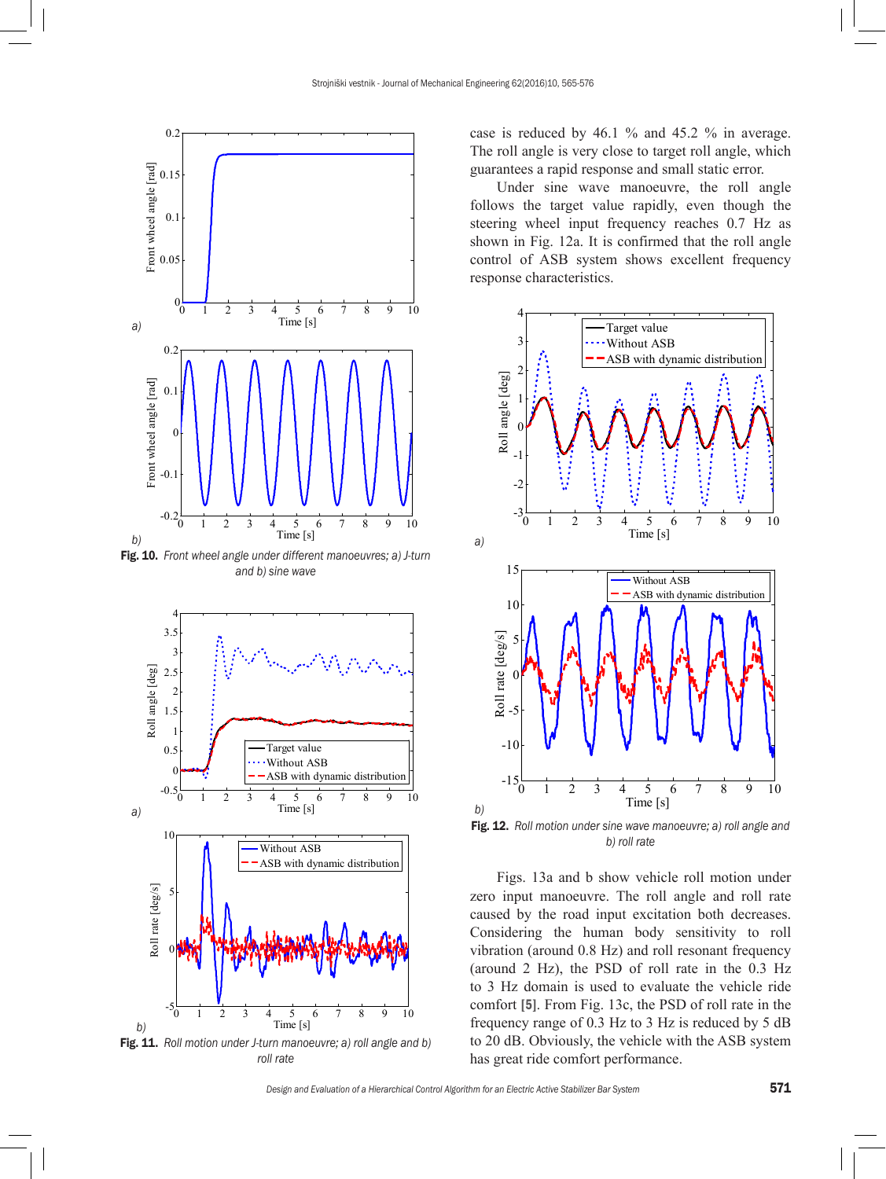

Fig. 10. *Front wheel angle under different manoeuvres; a) J-turn and b) sine wave*



case is reduced by 46.1 % and 45.2 % in average. The roll angle is very close to target roll angle, which guarantees a rapid response and small static error.

Under sine wave manoeuvre, the roll angle follows the target value rapidly, even though the steering wheel input frequency reaches 0.7 Hz as shown in Fig. 12a. It is confirmed that the roll angle control of ASB system shows excellent frequency response characteristics.



Fig. 12. *Roll motion under sine wave manoeuvre; a) roll angle and b) roll rate*

Figs. 13a and b show vehicle roll motion under zero input manoeuvre. The roll angle and roll rate caused by the road input excitation both decreases. Considering the human body sensitivity to roll vibration (around 0.8 Hz) and roll resonant frequency (around 2 Hz), the PSD of roll rate in the 0.3 Hz to 3 Hz domain is used to evaluate the vehicle ride comfort [5]. From Fig. 13c, the PSD of roll rate in the frequency range of 0.3 Hz to 3 Hz is reduced by 5 dB to 20 dB. Obviously, the vehicle with the ASB system has great ride comfort performance.

*Design and Evaluation of a Hierarchical Control Algorithm for an Electric Active Stabilizer Bar System* 571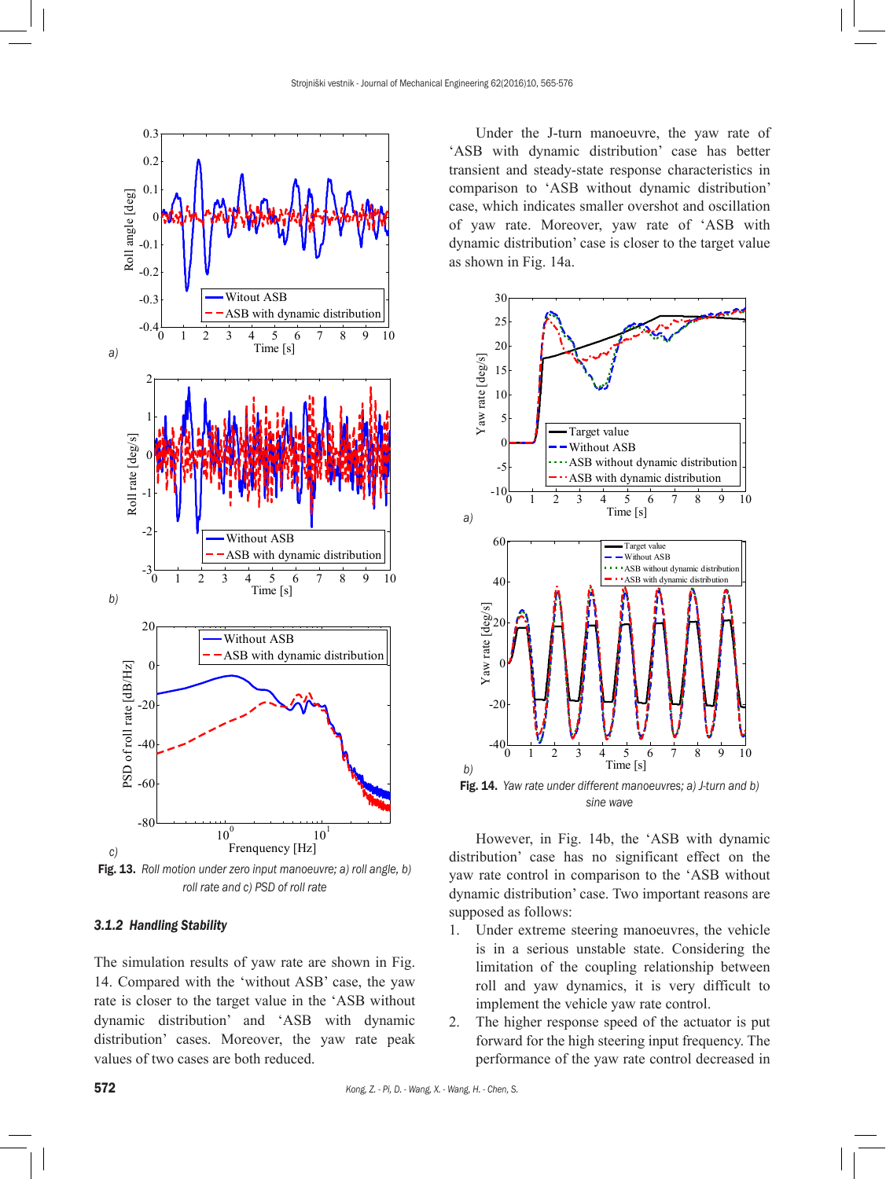

Fig. 13. *Roll motion under zero input manoeuvre; a) roll angle, b) roll rate and c) PSD of roll rate*

# *3.1.2 Handling Stability*

The simulation results of yaw rate are shown in Fig. 14. Compared with the 'without ASB' case, the yaw rate is closer to the target value in the 'ASB without dynamic distribution' and 'ASB with dynamic distribution' cases. Moreover, the yaw rate peak values of two cases are both reduced.

Under the J-turn manoeuvre, the yaw rate of 'ASB with dynamic distribution' case has better transient and steady-state response characteristics in comparison to 'ASB without dynamic distribution' case, which indicates smaller overshot and oscillation of yaw rate. Moreover, yaw rate of 'ASB with dynamic distribution' case is closer to the target value as shown in Fig. 14a.



*sine wave*

However, in Fig. 14b, the 'ASB with dynamic distribution' case has no significant effect on the yaw rate control in comparison to the 'ASB without dynamic distribution' case. Two important reasons are supposed as follows:

- 1. Under extreme steering manoeuvres, the vehicle is in a serious unstable state. Considering the limitation of the coupling relationship between roll and yaw dynamics, it is very difficult to implement the vehicle yaw rate control.
- 2. The higher response speed of the actuator is put forward for the high steering input frequency. The performance of the yaw rate control decreased in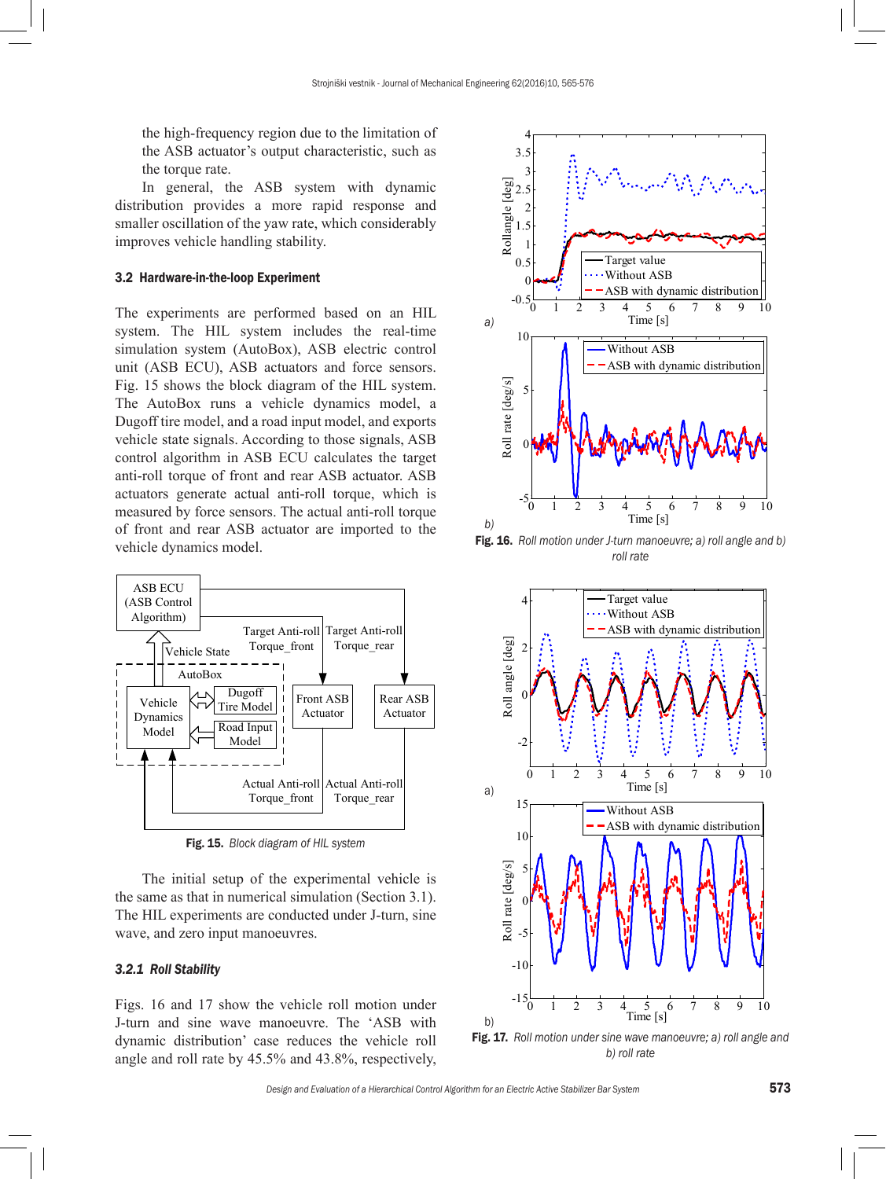the high-frequency region due to the limitation of the ASB actuator's output characteristic, such as the torque rate.

In general, the ASB system with dynamic distribution provides a more rapid response and smaller oscillation of the yaw rate, which considerably improves vehicle handling stability.

#### 3.2 Hardware-in-the-loop Experiment

The experiments are performed based on an HIL system. The HIL system includes the real-time simulation system (AutoBox), ASB electric control unit (ASB ECU), ASB actuators and force sensors. Fig. 15 shows the block diagram of the HIL system. The AutoBox runs a vehicle dynamics model, a Dugoff tire model, and a road input model, and exports vehicle state signals. According to those signals, ASB control algorithm in ASB ECU calculates the target anti-roll torque of front and rear ASB actuator. ASB actuators generate actual anti-roll torque, which is measured by force sensors. The actual anti-roll torque of front and rear ASB actuator are imported to the vehicle dynamics model.



Fig. 15. *Block diagram of HIL system*

The initial setup of the experimental vehicle is the same as that in numerical simulation (Section 3.1). The HIL experiments are conducted under J-turn, sine wave, and zero input manoeuvres.

## *3.2.1 Roll Stability*

Figs. 16 and 17 show the vehicle roll motion under J-turn and sine wave manoeuvre. The 'ASB with dynamic distribution' case reduces the vehicle roll angle and roll rate by 45.5% and 43.8%, respectively,



Fig. 16. *Roll motion under J-turn manoeuvre; a) roll angle and b) roll rate*



*b) roll rate*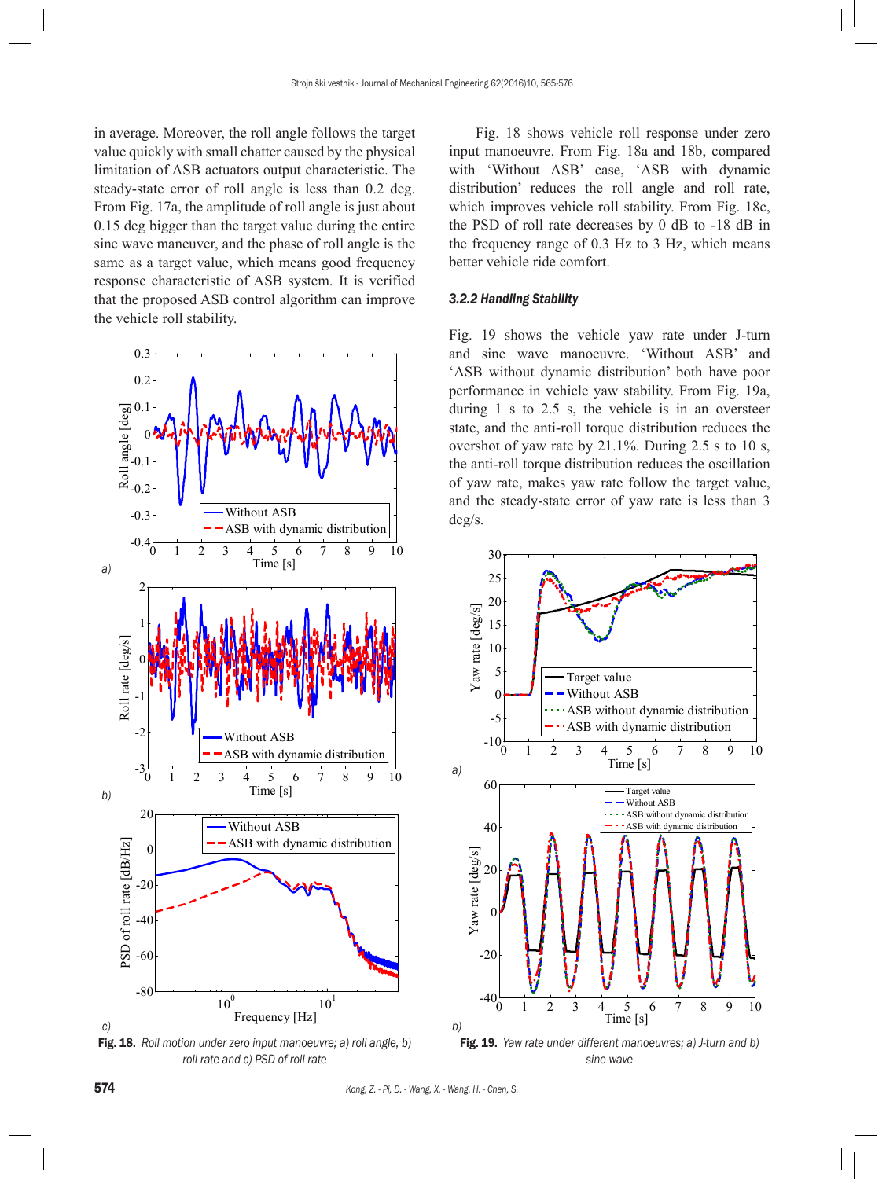in average. Moreover, the roll angle follows the target value quickly with small chatter caused by the physical limitation of ASB actuators output characteristic. The steady-state error of roll angle is less than 0.2 deg. From Fig. 17a, the amplitude of roll angle is just about 0.15 deg bigger than the target value during the entire sine wave maneuver, and the phase of roll angle is the same as a target value, which means good frequency response characteristic of ASB system. It is verified that the proposed ASB control algorithm can improve the vehicle roll stability.



Fig. 18. *Roll motion under zero input manoeuvre; a) roll angle, b) roll rate and c) PSD of roll rate*

Fig. 18 shows vehicle roll response under zero input manoeuvre. From Fig. 18a and 18b, compared with 'Without ASB' case, 'ASB with dynamic distribution' reduces the roll angle and roll rate, which improves vehicle roll stability. From Fig. 18c, the PSD of roll rate decreases by 0 dB to -18 dB in the frequency range of 0.3 Hz to 3 Hz, which means better vehicle ride comfort.

# *3.2.2 Handling Stability*

Fig. 19 shows the vehicle yaw rate under J-turn and sine wave manoeuvre. 'Without ASB' and 'ASB without dynamic distribution' both have poor performance in vehicle yaw stability. From Fig. 19a, during 1 s to 2.5 s, the vehicle is in an oversteer state, and the anti-roll torque distribution reduces the overshot of yaw rate by  $21.1\%$ . During  $2.5$  s to 10 s, the anti-roll torque distribution reduces the oscillation of yaw rate, makes yaw rate follow the target value, and the steady-state error of yaw rate is less than 3 deg/s.



*sine wave*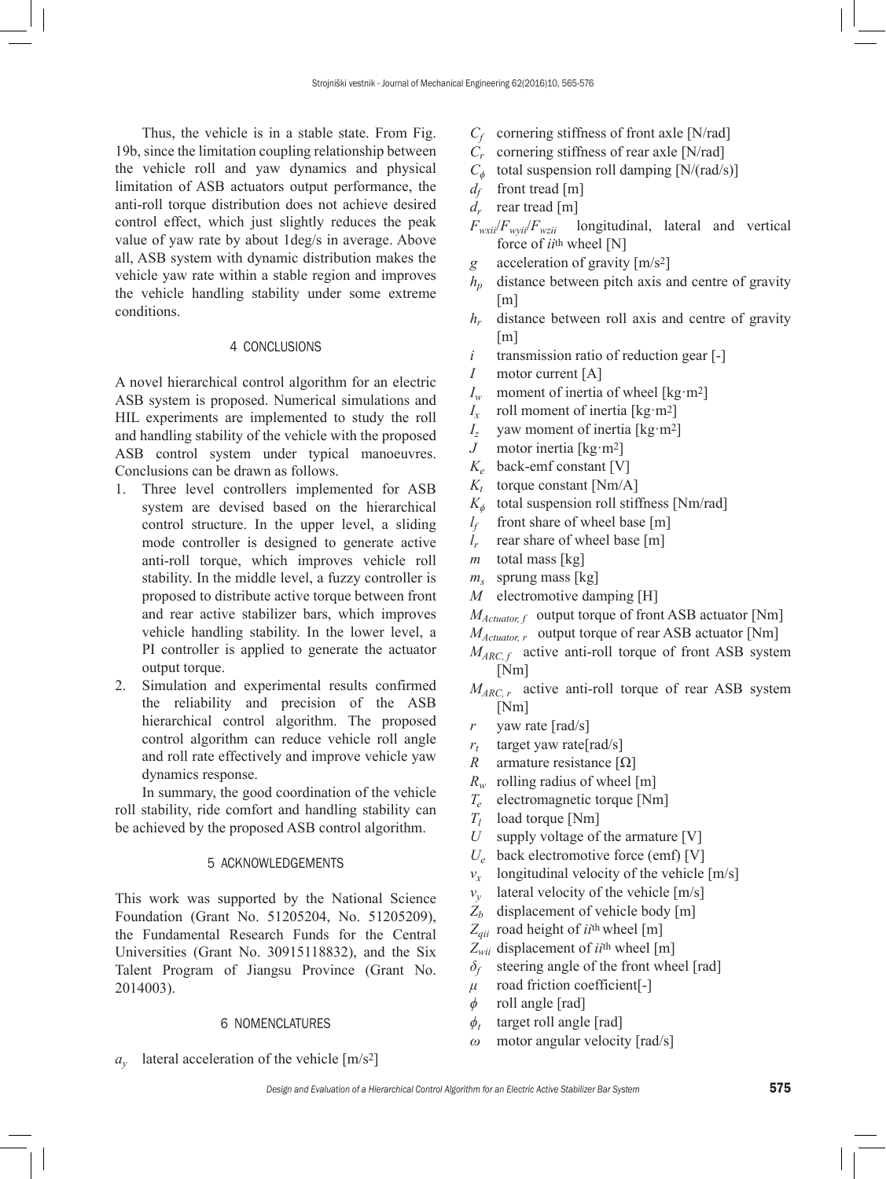Thus, the vehicle is in a stable state. From Fig. 19b, since the limitation coupling relationship between the vehicle roll and yaw dynamics and physical limitation of ASB actuators output performance, the anti-roll torque distribution does not achieve desired control effect, which just slightly reduces the peak value of yaw rate by about 1deg/s in average. Above all, ASB system with dynamic distribution makes the vehicle yaw rate within a stable region and improves the vehicle handling stability under some extreme conditions.

## 4 CONCLUSIONS

A novel hierarchical control algorithm for an electric ASB system is proposed. Numerical simulations and HIL experiments are implemented to study the roll and handling stability of the vehicle with the proposed ASB control system under typical manoeuvres. Conclusions can be drawn as follows.

- 1. Three level controllers implemented for ASB system are devised based on the hierarchical control structure. In the upper level, a sliding mode controller is designed to generate active anti-roll torque, which improves vehicle roll stability. In the middle level, a fuzzy controller is proposed to distribute active torque between front and rear active stabilizer bars, which improves vehicle handling stability. In the lower level, a PI controller is applied to generate the actuator output torque.
- 2. Simulation and experimental results confirmed the reliability and precision of the ASB hierarchical control algorithm. The proposed control algorithm can reduce vehicle roll angle and roll rate effectively and improve vehicle yaw dynamics response.

In summary, the good coordination of the vehicle roll stability, ride comfort and handling stability can be achieved by the proposed ASB control algorithm.

#### 5 ACKNOWLEDGEMENTS

This work was supported by the National Science Foundation (Grant No. 51205204, No. 51205209), the Fundamental Research Funds for the Central Universities (Grant No. 30915118832), and the Six Talent Program of Jiangsu Province (Grant No. 2014003).

#### 6 NOMENCLATURES

*ay* lateral acceleration of the vehicle [m/s2]

- *Cf* cornering stiffness of front axle [N/rad]
- *Cr* cornering stiffness of rear axle [N/rad]
- $C_{\phi}$  total suspension roll damping [N/(rad/s)]
- $d_f$  front tread [m]<br> $d_r$  rear tread [m]
- rear tread [m]
- $F_{w\chi i}/F_{w\chi i}/F_{w\chi i i}$  longitudinal, lateral and vertical force of *ii*th wheel [N]
- *g* acceleration of gravity [m/s2]
- $h_n$  distance between pitch axis and centre of gravity  $[m]$
- *hr* distance between roll axis and centre of gravity [m]
- *i* transmission ratio of reduction gear [-]
- *I* motor current [A]
- *I<sub>w</sub>* moment of inertia of wheel [kg·m<sup>2</sup>]
- *I<sub>x</sub>* roll moment of inertia [kg·m<sup>2</sup>]<br>*I<sub>z</sub>* yaw moment of inertia [kg·m<sup>2</sup>]
- yaw moment of inertia [kg·m<sup>2</sup>]
- *J* motor inertia [kg·m2]
- $K_e$  back-emf constant [V]<br> $K_t$  torque constant [Nm/A
- torque constant [Nm/A]
- *K<sup>ϕ</sup>* total suspension roll stiffness [Nm/rad]
- $l_f$  front share of wheel base [m]
- *lr* rear share of wheel base [m]
- *m* total mass [kg]
- *ms* sprung mass [kg]
- *M* electromotive damping [H]
- *M<sub>Actuator, f* output torque of front ASB actuator [Nm]</sub>
- *M<sub>Actuator, r* output torque of rear ASB actuator [Nm]</sub>
- *M<sub>ARC, f</sub>* active anti-roll torque of front ASB system [Nm]
- *M<sub>ARC, r</sub>* active anti-roll torque of rear ASB system [Nm]
- *r* yaw rate [rad/s]
- $r_t$  target yaw rate [rad/s]
- *R* armature resistance [Ω]
- *Rw* rolling radius of wheel [m]
- $T_e$  electromagnetic torque [Nm]<br> $T_l$  load torque [Nm]
- load torque [Nm]
- *U* supply voltage of the armature [V]
- *Ue* back electromotive force (emf) [V]
- $v_r$  longitudinal velocity of the vehicle  $[m/s]$
- $v_y$  lateral velocity of the vehicle [m/s]
- Z<sub>b</sub> displacement of vehicle body [m]
- *Zqii* road height of *ii*th wheel [m]
- *Zwii* displacement of *ii*th wheel [m]
- *δ<sup>f</sup>* steering angle of the front wheel [rad]
- *μ* road friction coefficient[-]
- *ϕ* roll angle [rad]
- $\phi_t$  target roll angle [rad]
- *ω* motor angular velocity [rad/s]